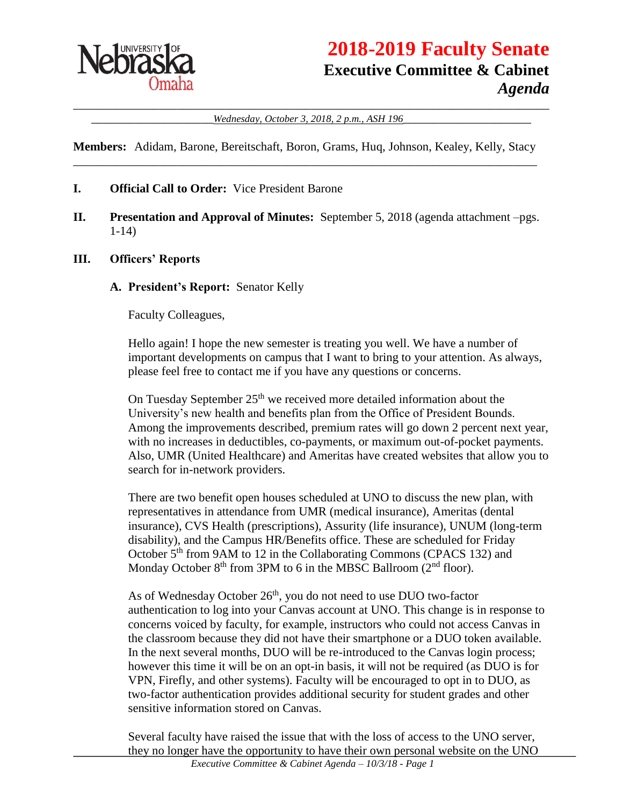

# **2018-2019 Faculty Senate Executive Committee & Cabinet** *Agenda*

\_\_\_\_\_\_\_\_\_\_\_\_\_\_\_\_\_\_\_\_\_\_\_\_\_\_\_\_\_\_\_\_\_\_\_\_\_\_\_\_\_\_\_\_\_\_\_\_\_\_\_\_\_\_\_\_\_\_\_\_\_\_\_\_\_\_\_\_\_\_\_\_\_\_\_\_\_\_ \_\_\_\_\_\_\_\_\_\_\_\_\_\_\_\_\_\_\_\_*Wednesday, October 3, 2018, 2 p.m., ASH 196*\_\_\_\_\_\_\_\_\_\_\_\_\_\_\_\_\_\_\_\_\_

**Members:** Adidam, Barone, Bereitschaft, Boron, Grams, Huq, Johnson, Kealey, Kelly, Stacy \_\_\_\_\_\_\_\_\_\_\_\_\_\_\_\_\_\_\_\_\_\_\_\_\_\_\_\_\_\_\_\_\_\_\_\_\_\_\_\_\_\_\_\_\_\_\_\_\_\_\_\_\_\_\_\_\_\_\_\_\_\_\_\_\_\_\_\_\_\_\_\_\_\_\_\_

#### **I. Official Call to Order:** Vice President Barone

**II. Presentation and Approval of Minutes:** September 5, 2018 (agenda attachment –pgs. 1-14)

#### **III. Officers' Reports**

#### **A. President's Report:** Senator Kelly

Faculty Colleagues,

Hello again! I hope the new semester is treating you well. We have a number of important developments on campus that I want to bring to your attention. As always, please feel free to contact me if you have any questions or concerns.

On Tuesday September 25<sup>th</sup> we received more detailed information about the University's new health and benefits plan from the Office of President Bounds. Among the improvements described, premium rates will go down 2 percent next year, with no increases in deductibles, co-payments, or maximum out-of-pocket payments. Also, UMR (United Healthcare) and Ameritas have created websites that allow you to search for in-network providers.

There are two benefit open houses scheduled at UNO to discuss the new plan, with representatives in attendance from UMR (medical insurance), Ameritas (dental insurance), CVS Health (prescriptions), Assurity (life insurance), UNUM (long-term disability), and the Campus HR/Benefits office. These are scheduled for Friday October 5<sup>th</sup> from 9AM to 12 in the Collaborating Commons (CPACS 132) and Monday October  $8<sup>th</sup>$  from 3PM to 6 in the MBSC Ballroom ( $2<sup>nd</sup>$  floor).

As of Wednesday October 26<sup>th</sup>, you do not need to use DUO two-factor authentication to log into your Canvas account at UNO. This change is in response to concerns voiced by faculty, for example, instructors who could not access Canvas in the classroom because they did not have their smartphone or a DUO token available. In the next several months, DUO will be re-introduced to the Canvas login process; however this time it will be on an opt-in basis, it will not be required (as DUO is for VPN, Firefly, and other systems). Faculty will be encouraged to opt in to DUO, as two-factor authentication provides additional security for student grades and other sensitive information stored on Canvas.

Several faculty have raised the issue that with the loss of access to the UNO server, they no longer have the opportunity to have their own personal website on the UNO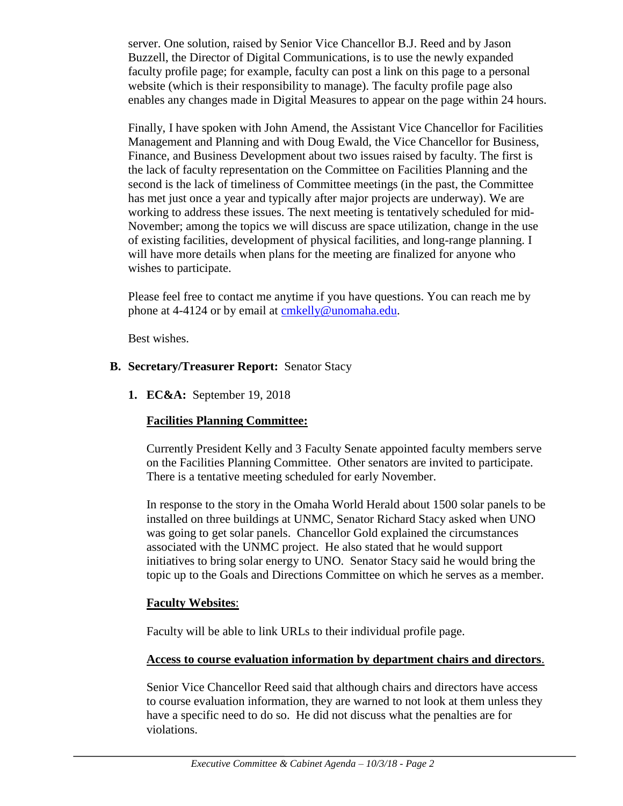server. One solution, raised by Senior Vice Chancellor B.J. Reed and by Jason Buzzell, the Director of Digital Communications, is to use the newly expanded faculty profile page; for example, faculty can post a link on this page to a personal website (which is their responsibility to manage). The faculty profile page also enables any changes made in Digital Measures to appear on the page within 24 hours.

Finally, I have spoken with John Amend, the Assistant Vice Chancellor for Facilities Management and Planning and with Doug Ewald, the Vice Chancellor for Business, Finance, and Business Development about two issues raised by faculty. The first is the lack of faculty representation on the Committee on Facilities Planning and the second is the lack of timeliness of Committee meetings (in the past, the Committee has met just once a year and typically after major projects are underway). We are working to address these issues. The next meeting is tentatively scheduled for mid-November; among the topics we will discuss are space utilization, change in the use of existing facilities, development of physical facilities, and long-range planning. I will have more details when plans for the meeting are finalized for anyone who wishes to participate.

Please feel free to contact me anytime if you have questions. You can reach me by phone at 4-4124 or by email at [cmkelly@unomaha.edu.](mailto:cmkelly@unomaha.edu)

Best wishes.

### **B. Secretary/Treasurer Report:** Senator Stacy

**1. EC&A:** September 19, 2018

### **Facilities Planning Committee:**

Currently President Kelly and 3 Faculty Senate appointed faculty members serve on the Facilities Planning Committee. Other senators are invited to participate. There is a tentative meeting scheduled for early November.

In response to the story in the Omaha World Herald about 1500 solar panels to be installed on three buildings at UNMC, Senator Richard Stacy asked when UNO was going to get solar panels. Chancellor Gold explained the circumstances associated with the UNMC project. He also stated that he would support initiatives to bring solar energy to UNO. Senator Stacy said he would bring the topic up to the Goals and Directions Committee on which he serves as a member.

### **Faculty Websites**:

Faculty will be able to link URLs to their individual profile page.

### **Access to course evaluation information by department chairs and directors**.

Senior Vice Chancellor Reed said that although chairs and directors have access to course evaluation information, they are warned to not look at them unless they have a specific need to do so. He did not discuss what the penalties are for violations.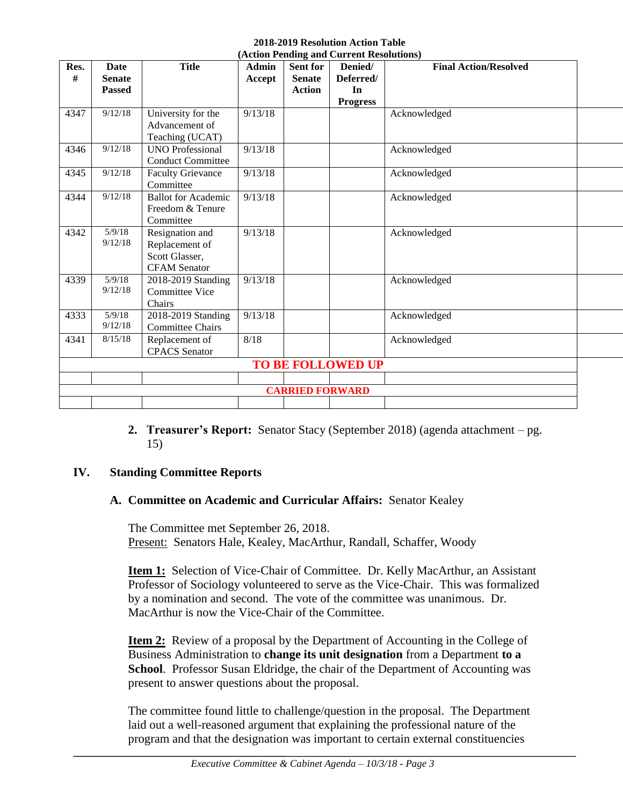#### **2018-2019 Resolution Action Table (Action Pending and Current Resolutions)**

| Res. | Date                     | <b>Title</b>               | <b>Admin</b> | Sent for      | Denied/         | <b>Final Action/Resolved</b> |  |  |
|------|--------------------------|----------------------------|--------------|---------------|-----------------|------------------------------|--|--|
| #    | <b>Senate</b>            |                            | Accept       | <b>Senate</b> | Deferred/       |                              |  |  |
|      | <b>Passed</b>            |                            |              | <b>Action</b> | In              |                              |  |  |
|      |                          |                            |              |               | <b>Progress</b> |                              |  |  |
| 4347 | 9/12/18                  | University for the         | 9/13/18      |               |                 | Acknowledged                 |  |  |
|      |                          | Advancement of             |              |               |                 |                              |  |  |
|      |                          | Teaching (UCAT)            |              |               |                 |                              |  |  |
| 4346 | 9/12/18                  | <b>UNO Professional</b>    | 9/13/18      |               |                 | Acknowledged                 |  |  |
|      |                          | <b>Conduct Committee</b>   |              |               |                 |                              |  |  |
| 4345 | 9/12/18                  | <b>Faculty Grievance</b>   | 9/13/18      |               |                 | Acknowledged                 |  |  |
|      |                          | Committee                  |              |               |                 |                              |  |  |
| 4344 | 9/12/18                  | <b>Ballot</b> for Academic | 9/13/18      |               |                 | Acknowledged                 |  |  |
|      |                          | Freedom & Tenure           |              |               |                 |                              |  |  |
|      |                          | Committee                  |              |               |                 |                              |  |  |
| 4342 | 5/9/18                   | Resignation and            | 9/13/18      |               |                 | Acknowledged                 |  |  |
|      | 9/12/18                  | Replacement of             |              |               |                 |                              |  |  |
|      |                          | Scott Glasser,             |              |               |                 |                              |  |  |
|      |                          | <b>CFAM</b> Senator        |              |               |                 |                              |  |  |
| 4339 | 5/9/18                   | 2018-2019 Standing         | 9/13/18      |               |                 | Acknowledged                 |  |  |
|      | 9/12/18                  | <b>Committee Vice</b>      |              |               |                 |                              |  |  |
|      |                          | Chairs                     |              |               |                 |                              |  |  |
| 4333 | 5/9/18                   | 2018-2019 Standing         | 9/13/18      |               |                 | Acknowledged                 |  |  |
|      | 9/12/18                  | <b>Committee Chairs</b>    |              |               |                 |                              |  |  |
| 4341 | 8/15/18                  | Replacement of             | 8/18         |               |                 | Acknowledged                 |  |  |
|      |                          | <b>CPACS</b> Senator       |              |               |                 |                              |  |  |
|      | <b>TO BE FOLLOWED UP</b> |                            |              |               |                 |                              |  |  |
|      |                          |                            |              |               |                 |                              |  |  |
|      | <b>CARRIED FORWARD</b>   |                            |              |               |                 |                              |  |  |
|      |                          |                            |              |               |                 |                              |  |  |

**2. Treasurer's Report:** Senator Stacy (September 2018) (agenda attachment – pg. 15)

### **IV. Standing Committee Reports**

### **A. Committee on Academic and Curricular Affairs:** Senator Kealey

The Committee met September 26, 2018. Present: Senators Hale, Kealey, MacArthur, Randall, Schaffer, Woody

**Item 1:** Selection of Vice-Chair of Committee. Dr. Kelly MacArthur, an Assistant Professor of Sociology volunteered to serve as the Vice-Chair. This was formalized by a nomination and second. The vote of the committee was unanimous. Dr. MacArthur is now the Vice-Chair of the Committee.

**<u>Item 2:</u>** Review of a proposal by the Department of Accounting in the College of Business Administration to **change its unit designation** from a Department **to a School**. Professor Susan Eldridge, the chair of the Department of Accounting was present to answer questions about the proposal.

The committee found little to challenge/question in the proposal. The Department laid out a well-reasoned argument that explaining the professional nature of the program and that the designation was important to certain external constituencies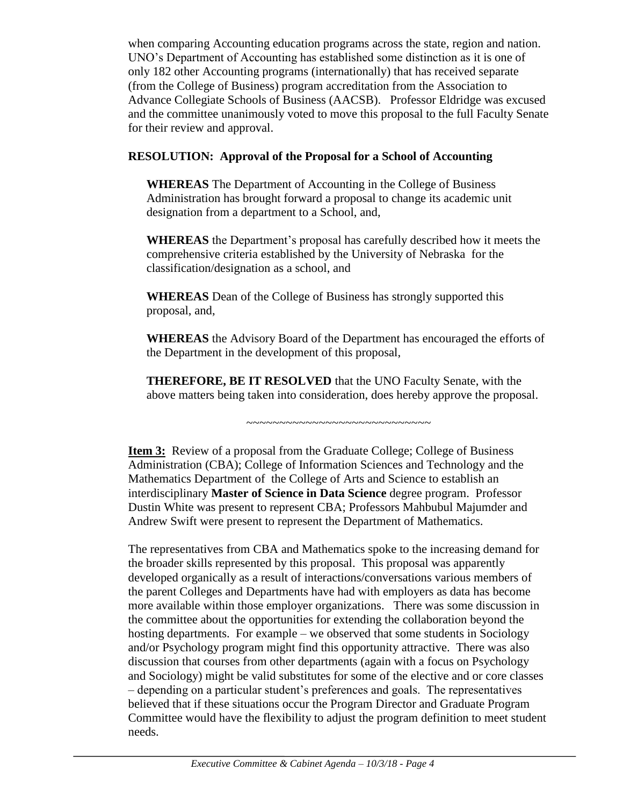when comparing Accounting education programs across the state, region and nation. UNO's Department of Accounting has established some distinction as it is one of only 182 other Accounting programs (internationally) that has received separate (from the College of Business) program accreditation from the Association to Advance Collegiate Schools of Business (AACSB). Professor Eldridge was excused and the committee unanimously voted to move this proposal to the full Faculty Senate for their review and approval.

### **RESOLUTION: Approval of the Proposal for a School of Accounting**

**WHEREAS** The Department of Accounting in the College of Business Administration has brought forward a proposal to change its academic unit designation from a department to a School, and,

**WHEREAS** the Department's proposal has carefully described how it meets the comprehensive criteria established by the University of Nebraska for the classification/designation as a school, and

**WHEREAS** Dean of the College of Business has strongly supported this proposal, and,

**WHEREAS** the Advisory Board of the Department has encouraged the efforts of the Department in the development of this proposal,

**THEREFORE, BE IT RESOLVED** that the UNO Faculty Senate, with the above matters being taken into consideration, does hereby approve the proposal.

~~~~~~~~~~~~~~~~~~~~~~~~~~~~

**Item 3:** Review of a proposal from the Graduate College; College of Business Administration (CBA); College of Information Sciences and Technology and the Mathematics Department of the College of Arts and Science to establish an interdisciplinary **Master of Science in Data Science** degree program. Professor Dustin White was present to represent CBA; Professors Mahbubul Majumder and Andrew Swift were present to represent the Department of Mathematics.

The representatives from CBA and Mathematics spoke to the increasing demand for the broader skills represented by this proposal. This proposal was apparently developed organically as a result of interactions/conversations various members of the parent Colleges and Departments have had with employers as data has become more available within those employer organizations. There was some discussion in the committee about the opportunities for extending the collaboration beyond the hosting departments. For example – we observed that some students in Sociology and/or Psychology program might find this opportunity attractive. There was also discussion that courses from other departments (again with a focus on Psychology and Sociology) might be valid substitutes for some of the elective and or core classes – depending on a particular student's preferences and goals. The representatives believed that if these situations occur the Program Director and Graduate Program Committee would have the flexibility to adjust the program definition to meet student needs.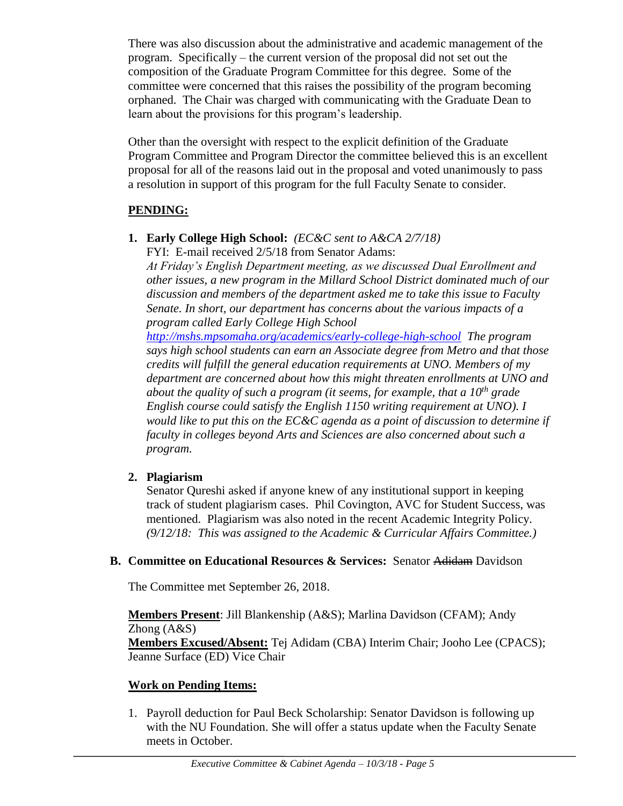There was also discussion about the administrative and academic management of the program. Specifically – the current version of the proposal did not set out the composition of the Graduate Program Committee for this degree. Some of the committee were concerned that this raises the possibility of the program becoming orphaned. The Chair was charged with communicating with the Graduate Dean to learn about the provisions for this program's leadership.

Other than the oversight with respect to the explicit definition of the Graduate Program Committee and Program Director the committee believed this is an excellent proposal for all of the reasons laid out in the proposal and voted unanimously to pass a resolution in support of this program for the full Faculty Senate to consider.

### **PENDING:**

**1. Early College High School:** *(EC&C sent to A&CA 2/7/18)* FYI: E-mail received 2/5/18 from Senator Adams:

*At Friday's English Department meeting, as we discussed Dual Enrollment and other issues, a new program in the Millard School District dominated much of our discussion and members of the department asked me to take this issue to Faculty Senate. In short, our department has concerns about the various impacts of a program called Early College High School* 

*<http://mshs.mpsomaha.org/academics/early-college-high-school> The program says high school students can earn an Associate degree from Metro and that those credits will fulfill the general education requirements at UNO. Members of my department are concerned about how this might threaten enrollments at UNO and about the quality of such a program (it seems, for example, that a 10th grade English course could satisfy the English 1150 writing requirement at UNO). I would like to put this on the EC&C agenda as a point of discussion to determine if faculty in colleges beyond Arts and Sciences are also concerned about such a program.*

### **2. Plagiarism**

Senator Qureshi asked if anyone knew of any institutional support in keeping track of student plagiarism cases. Phil Covington, AVC for Student Success, was mentioned. Plagiarism was also noted in the recent Academic Integrity Policy. *(9/12/18: This was assigned to the Academic & Curricular Affairs Committee.)* 

### **B. Committee on Educational Resources & Services:** Senator Adidam Davidson

The Committee met September 26, 2018.

**Members Present**: Jill Blankenship (A&S); Marlina Davidson (CFAM); Andy Zhong (A&S) **Members Excused/Absent:** Tej Adidam (CBA) Interim Chair; Jooho Lee (CPACS); Jeanne Surface (ED) Vice Chair

### **Work on Pending Items:**

1. Payroll deduction for Paul Beck Scholarship: Senator Davidson is following up with the NU Foundation. She will offer a status update when the Faculty Senate meets in October.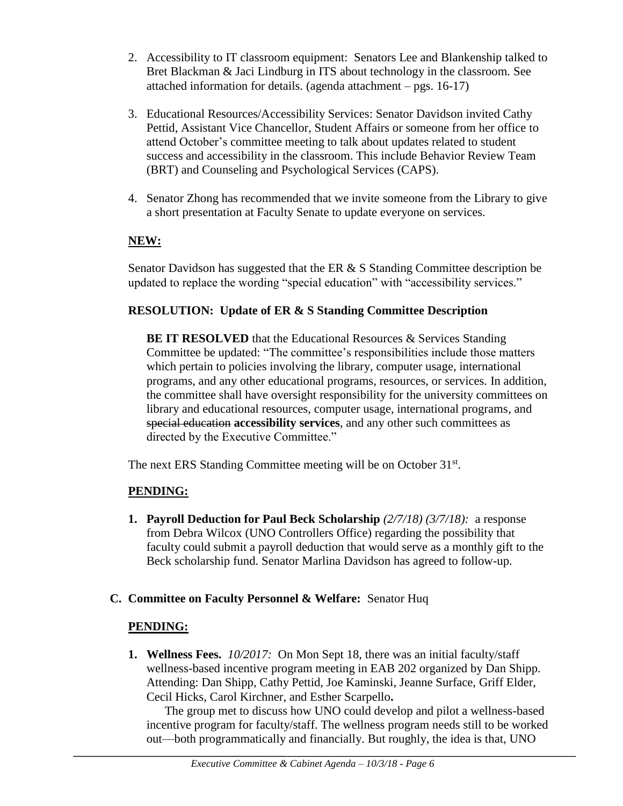- 2. Accessibility to IT classroom equipment: Senators Lee and Blankenship talked to Bret Blackman & Jaci Lindburg in ITS about technology in the classroom. See attached information for details. (agenda attachment – pgs. 16-17)
- 3. Educational Resources/Accessibility Services: Senator Davidson invited Cathy Pettid, Assistant Vice Chancellor, Student Affairs or someone from her office to attend October's committee meeting to talk about updates related to student success and accessibility in the classroom. This include Behavior Review Team (BRT) and Counseling and Psychological Services (CAPS).
- 4. Senator Zhong has recommended that we invite someone from the Library to give a short presentation at Faculty Senate to update everyone on services.

### **NEW:**

Senator Davidson has suggested that the ER  $& S$  Standing Committee description be updated to replace the wording "special education" with "accessibility services."

### **RESOLUTION: Update of ER & S Standing Committee Description**

**BE IT RESOLVED** that the Educational Resources & Services Standing Committee be updated: "The committee's responsibilities include those matters which pertain to policies involving the library, computer usage, international programs, and any other educational programs, resources, or services. In addition, the committee shall have oversight responsibility for the university committees on library and educational resources, computer usage, international programs, and special education **accessibility services**, and any other such committees as directed by the Executive Committee."

The next ERS Standing Committee meeting will be on October 31st.

### **PENDING:**

**1. Payroll Deduction for Paul Beck Scholarship** *(2/7/18) (3/7/18):* a response from Debra Wilcox (UNO Controllers Office) regarding the possibility that faculty could submit a payroll deduction that would serve as a monthly gift to the Beck scholarship fund. Senator Marlina Davidson has agreed to follow-up.

### **C. Committee on Faculty Personnel & Welfare:** Senator Huq

### **PENDING:**

**1. Wellness Fees.** *10/2017:*On Mon Sept 18, there was an initial faculty/staff wellness-based incentive program meeting in EAB 202 organized by Dan Shipp. Attending: Dan Shipp, Cathy Pettid, Joe Kaminski, Jeanne Surface, Griff Elder, Cecil Hicks, Carol Kirchner, and Esther Scarpello**.**

The group met to discuss how UNO could develop and pilot a wellness-based incentive program for faculty/staff. The wellness program needs still to be worked out—both programmatically and financially. But roughly, the idea is that, UNO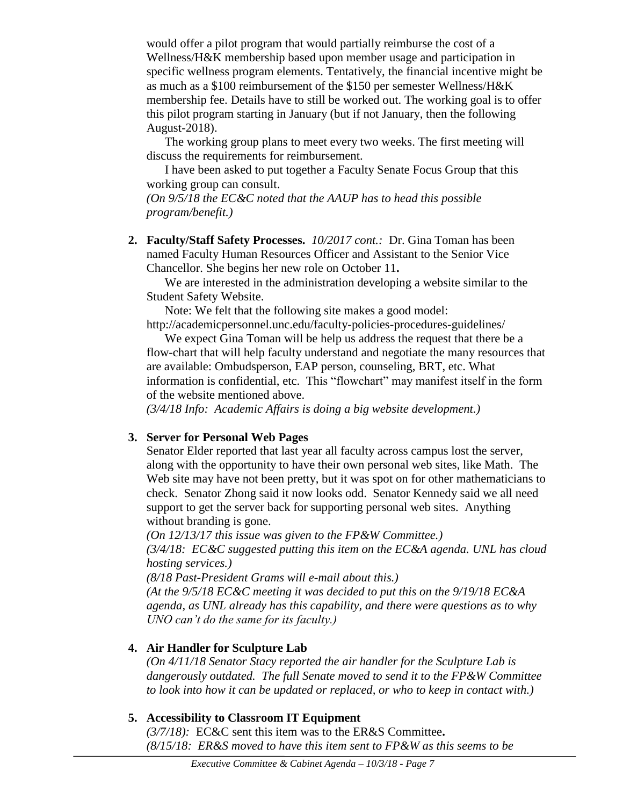would offer a pilot program that would partially reimburse the cost of a Wellness/H&K membership based upon member usage and participation in specific wellness program elements. Tentatively, the financial incentive might be as much as a \$100 reimbursement of the \$150 per semester Wellness/H&K membership fee. Details have to still be worked out. The working goal is to offer this pilot program starting in January (but if not January, then the following August-2018).

The working group plans to meet every two weeks. The first meeting will discuss the requirements for reimbursement.

I have been asked to put together a Faculty Senate Focus Group that this working group can consult.

*(On 9/5/18 the EC&C noted that the AAUP has to head this possible program/benefit.)*

**2. Faculty/Staff Safety Processes.** *10/2017 cont.:* Dr. Gina Toman has been named Faculty Human Resources Officer and Assistant to the Senior Vice Chancellor. She begins her new role on October 11**.**

We are interested in the administration developing a website similar to the Student Safety Website.

Note: We felt that the following site makes a good model:

http://academicpersonnel.unc.edu/faculty-policies-procedures-guidelines/

We expect Gina Toman will be help us address the request that there be a flow-chart that will help faculty understand and negotiate the many resources that are available: Ombudsperson, EAP person, counseling, BRT, etc. What information is confidential, etc. This "flowchart" may manifest itself in the form of the website mentioned above.

*(3/4/18 Info: Academic Affairs is doing a big website development.)*

### **3. Server for Personal Web Pages**

Senator Elder reported that last year all faculty across campus lost the server, along with the opportunity to have their own personal web sites, like Math. The Web site may have not been pretty, but it was spot on for other mathematicians to check. Senator Zhong said it now looks odd. Senator Kennedy said we all need support to get the server back for supporting personal web sites. Anything without branding is gone.

*(On 12/13/17 this issue was given to the FP&W Committee.) (3/4/18: EC&C suggested putting this item on the EC&A agenda. UNL has cloud hosting services.)*

*(8/18 Past-President Grams will e-mail about this.)*

*(At the 9/5/18 EC&C meeting it was decided to put this on the 9/19/18 EC&A agenda, as UNL already has this capability, and there were questions as to why UNO can't do the same for its faculty.)*

## **4. Air Handler for Sculpture Lab**

*(On 4/11/18 Senator Stacy reported the air handler for the Sculpture Lab is dangerously outdated. The full Senate moved to send it to the FP&W Committee to look into how it can be updated or replaced, or who to keep in contact with.)*

## **5. Accessibility to Classroom IT Equipment**

*(3/7/18):* EC&C sent this item was to the ER&S Committee**.**  *(8/15/18: ER&S moved to have this item sent to FP&W as this seems to be*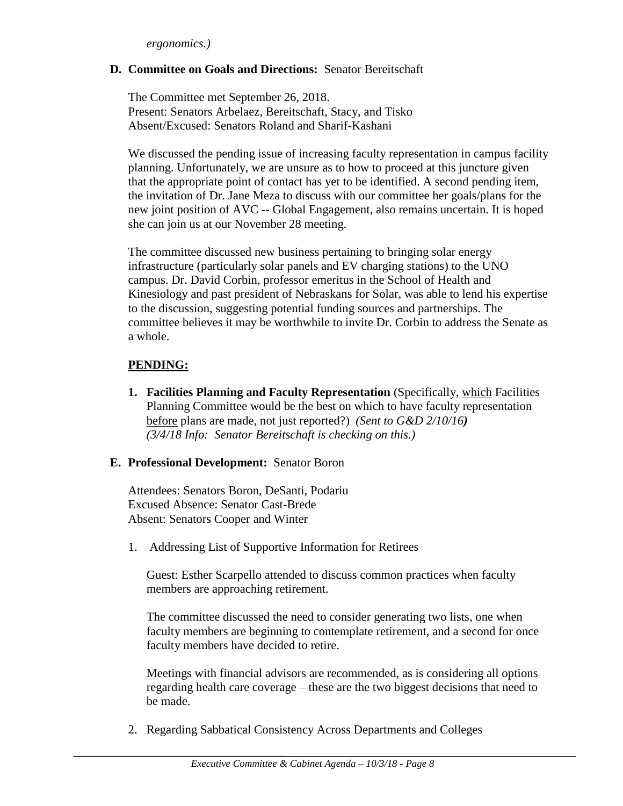### **D. Committee on Goals and Directions:** Senator Bereitschaft

The Committee met September 26, 2018. Present: Senators Arbelaez, Bereitschaft, Stacy, and Tisko Absent/Excused: Senators Roland and Sharif-Kashani

We discussed the pending issue of increasing faculty representation in campus facility planning. Unfortunately, we are unsure as to how to proceed at this juncture given that the appropriate point of contact has yet to be identified. A second pending item, the invitation of Dr. Jane Meza to discuss with our committee her goals/plans for the new joint position of AVC -- Global Engagement, also remains uncertain. It is hoped she can join us at our November 28 meeting.

The committee discussed new business pertaining to bringing solar energy infrastructure (particularly solar panels and EV charging stations) to the UNO campus. Dr. David Corbin, professor emeritus in the School of Health and Kinesiology and past president of Nebraskans for Solar, was able to lend his expertise to the discussion, suggesting potential funding sources and partnerships. The committee believes it may be worthwhile to invite Dr. Corbin to address the Senate as a whole.

### **PENDING:**

**1. Facilities Planning and Faculty Representation** (Specifically, which Facilities Planning Committee would be the best on which to have faculty representation before plans are made, not just reported?) *(Sent to G&D 2/10/16) (3/4/18 Info: Senator Bereitschaft is checking on this.)* 

#### **E. Professional Development:** Senator Boron

Attendees: Senators Boron, DeSanti, Podariu Excused Absence: Senator Cast-Brede Absent: Senators Cooper and Winter

1. Addressing List of Supportive Information for Retirees

Guest: Esther Scarpello attended to discuss common practices when faculty members are approaching retirement.

The committee discussed the need to consider generating two lists, one when faculty members are beginning to contemplate retirement, and a second for once faculty members have decided to retire.

Meetings with financial advisors are recommended, as is considering all options regarding health care coverage – these are the two biggest decisions that need to be made.

2. Regarding Sabbatical Consistency Across Departments and Colleges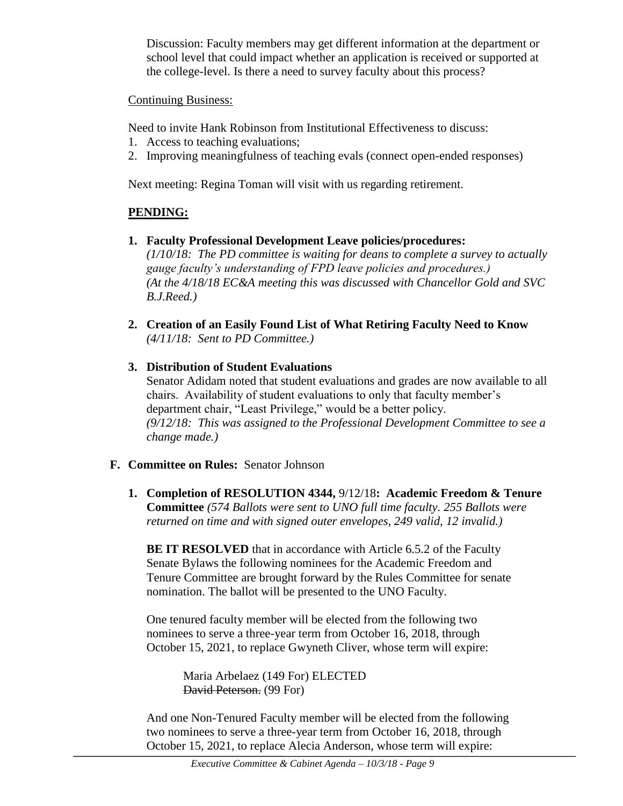Discussion: Faculty members may get different information at the department or school level that could impact whether an application is received or supported at the college-level. Is there a need to survey faculty about this process?

### Continuing Business:

Need to invite Hank Robinson from Institutional Effectiveness to discuss:

- 1. Access to teaching evaluations;
- 2. Improving meaningfulness of teaching evals (connect open-ended responses)

Next meeting: Regina Toman will visit with us regarding retirement.

### **PENDING:**

*B.J.Reed.)*

- **1. Faculty Professional Development Leave policies/procedures:**  *(1/10/18: The PD committee is waiting for deans to complete a survey to actually gauge faculty's understanding of FPD leave policies and procedures.) (At the 4/18/18 EC&A meeting this was discussed with Chancellor Gold and SVC*
- **2. Creation of an Easily Found List of What Retiring Faculty Need to Know** *(4/11/18: Sent to PD Committee.)*
- **3. Distribution of Student Evaluations** Senator Adidam noted that student evaluations and grades are now available to all chairs. Availability of student evaluations to only that faculty member's department chair, "Least Privilege," would be a better policy. *(9/12/18: This was assigned to the Professional Development Committee to see a change made.)*

### **F. Committee on Rules:** Senator Johnson

**1. Completion of RESOLUTION 4344,** 9/12/18**: Academic Freedom & Tenure Committee** *(574 Ballots were sent to UNO full time faculty. 255 Ballots were returned on time and with signed outer envelopes, 249 valid, 12 invalid.)*

**BE IT RESOLVED** that in accordance with Article 6.5.2 of the Faculty Senate Bylaws the following nominees for the Academic Freedom and Tenure Committee are brought forward by the Rules Committee for senate nomination. The ballot will be presented to the UNO Faculty.

One tenured faculty member will be elected from the following two nominees to serve a three-year term from October 16, 2018, through October 15, 2021, to replace Gwyneth Cliver, whose term will expire:

> Maria Arbelaez (149 For) ELECTED David Peterson. (99 For)

And one Non-Tenured Faculty member will be elected from the following two nominees to serve a three-year term from October 16, 2018, through October 15, 2021, to replace Alecia Anderson, whose term will expire: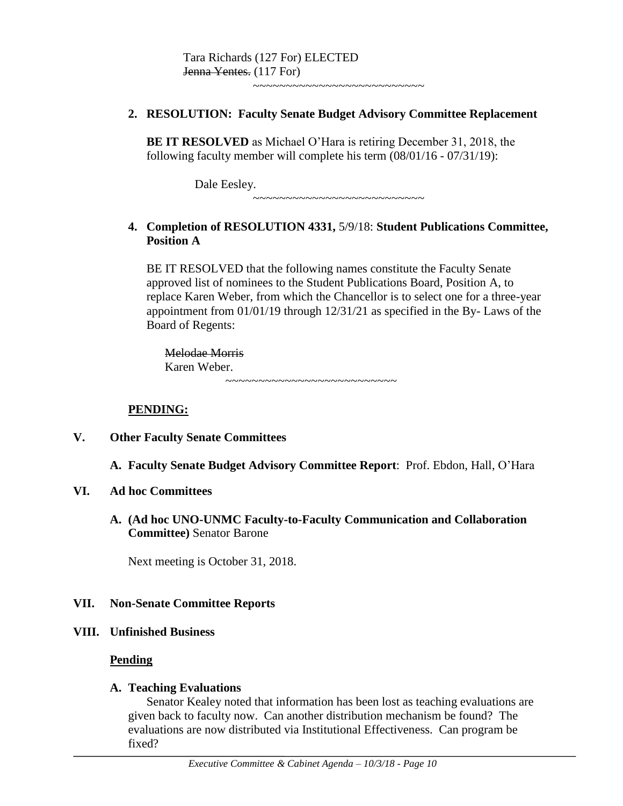Tara Richards (127 For) ELECTED Jenna Yentes. (117 For)

~~~~~~~~~~~~~~~~~~~~~~~~~~

#### **2. RESOLUTION: Faculty Senate Budget Advisory Committee Replacement**

**BE IT RESOLVED** as Michael O'Hara is retiring December 31, 2018, the following faculty member will complete his term (08/01/16 - 07/31/19):

> Dale Eesley. ~~~~~~~~~~~~~~~~~~~~~~~~~~

### **4. Completion of RESOLUTION 4331,** 5/9/18: **Student Publications Committee, Position A**

BE IT RESOLVED that the following names constitute the Faculty Senate approved list of nominees to the Student Publications Board, Position A, to replace Karen Weber, from which the Chancellor is to select one for a three-year appointment from 01/01/19 through 12/31/21 as specified in the By- Laws of the Board of Regents:

Melodae Morris Karen Weber. ~~~~~~~~~~~~~~~~~~~~~~~~~~

#### **PENDING:**

#### **V. Other Faculty Senate Committees**

**A. Faculty Senate Budget Advisory Committee Report**: Prof. Ebdon, Hall, O'Hara

#### **VI. Ad hoc Committees**

**A. (Ad hoc UNO-UNMC Faculty-to-Faculty Communication and Collaboration Committee)** Senator Barone

Next meeting is October 31, 2018.

#### **VII. Non-Senate Committee Reports**

#### **VIII. Unfinished Business**

#### **Pending**

#### **A. Teaching Evaluations**

Senator Kealey noted that information has been lost as teaching evaluations are given back to faculty now. Can another distribution mechanism be found? The evaluations are now distributed via Institutional Effectiveness. Can program be fixed?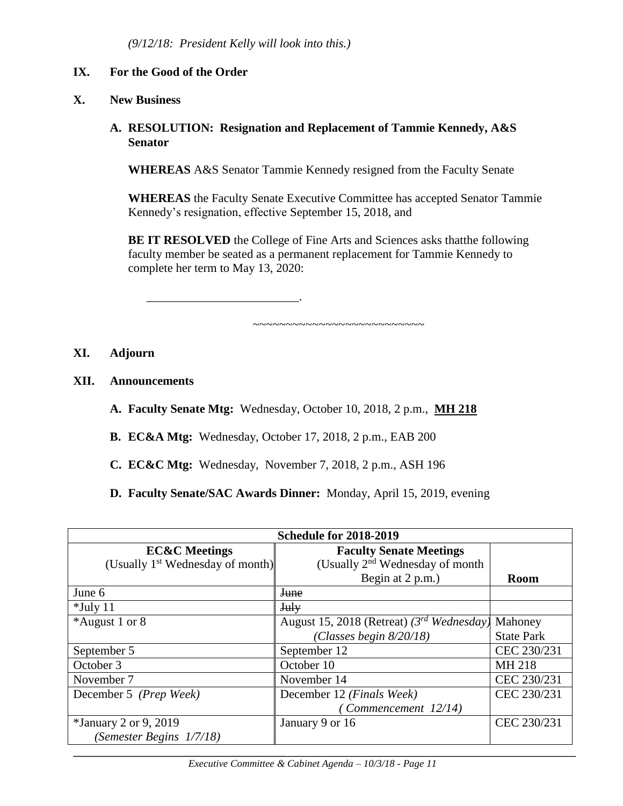\_\_\_\_\_\_\_\_\_\_\_\_\_\_\_\_\_\_\_\_\_\_\_\_\_.

### **IX. For the Good of the Order**

### **X. New Business**

### **A. RESOLUTION: Resignation and Replacement of Tammie Kennedy, A&S Senator**

**WHEREAS** A&S Senator Tammie Kennedy resigned from the Faculty Senate

**WHEREAS** the Faculty Senate Executive Committee has accepted Senator Tammie Kennedy's resignation, effective September 15, 2018, and

**BE IT RESOLVED** the College of Fine Arts and Sciences asks that the following faculty member be seated as a permanent replacement for Tammie Kennedy to complete her term to May 13, 2020:

~~~~~~~~~~~~~~~~~~~~~~~~~~

#### **XI. Adjourn**

- **XII. Announcements**
	- **A. Faculty Senate Mtg:** Wednesday, October 10, 2018, 2 p.m., **MH 218**
	- **B. EC&A Mtg:** Wednesday, October 17, 2018, 2 p.m., EAB 200
	- **C. EC&C Mtg:** Wednesday, November 7, 2018, 2 p.m., ASH 196
	- **D. Faculty Senate/SAC Awards Dinner:** Monday, April 15, 2019, evening

| <b>Schedule for 2018-2019</b>                |                                                |                   |  |  |  |  |
|----------------------------------------------|------------------------------------------------|-------------------|--|--|--|--|
| <b>EC&amp;C</b> Meetings                     | <b>Faculty Senate Meetings</b>                 |                   |  |  |  |  |
| (Usually 1 <sup>st</sup> Wednesday of month) | (Usually 2 <sup>nd</sup> Wednesday of month    |                   |  |  |  |  |
|                                              | Begin at 2 p.m.)                               | <b>Room</b>       |  |  |  |  |
| June 6                                       | <b>June</b>                                    |                   |  |  |  |  |
| $*$ July 11                                  | July                                           |                   |  |  |  |  |
| *August 1 or 8                               | August 15, 2018 (Retreat) $(3^{rd}$ Wednesday) | Mahoney           |  |  |  |  |
|                                              | (Classes begin $8/20/18$ )                     | <b>State Park</b> |  |  |  |  |
| September 5                                  | September 12                                   | CEC 230/231       |  |  |  |  |
| October 3                                    | October 10                                     | MH 218            |  |  |  |  |
| November 7                                   | November 14                                    | CEC 230/231       |  |  |  |  |
| December 5 (Prep Week)                       | December 12 (Finals Week)                      | CEC 230/231       |  |  |  |  |
|                                              | Commencement 12/14)                            |                   |  |  |  |  |
| <i>*January 2 or 9, 2019</i>                 | January 9 or 16                                | CEC 230/231       |  |  |  |  |
| (Semester Begins 1/7/18)                     |                                                |                   |  |  |  |  |